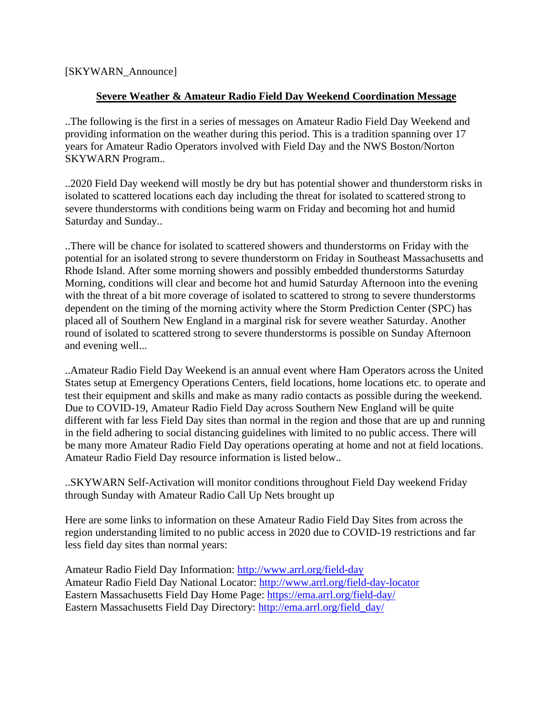## [SKYWARN\_Announce]

## **Severe Weather & Amateur Radio Field Day Weekend Coordination Message**

..The following is the first in a series of messages on Amateur Radio Field Day Weekend and providing information on the weather during this period. This is a tradition spanning over 17 years for Amateur Radio Operators involved with Field Day and the NWS Boston/Norton SKYWARN Program..

..2020 Field Day weekend will mostly be dry but has potential shower and thunderstorm risks in isolated to scattered locations each day including the threat for isolated to scattered strong to severe thunderstorms with conditions being warm on Friday and becoming hot and humid Saturday and Sunday..

..There will be chance for isolated to scattered showers and thunderstorms on Friday with the potential for an isolated strong to severe thunderstorm on Friday in Southeast Massachusetts and Rhode Island. After some morning showers and possibly embedded thunderstorms Saturday Morning, conditions will clear and become hot and humid Saturday Afternoon into the evening with the threat of a bit more coverage of isolated to scattered to strong to severe thunderstorms dependent on the timing of the morning activity where the Storm Prediction Center (SPC) has placed all of Southern New England in a marginal risk for severe weather Saturday. Another round of isolated to scattered strong to severe thunderstorms is possible on Sunday Afternoon and evening well...

..Amateur Radio Field Day Weekend is an annual event where Ham Operators across the United States setup at Emergency Operations Centers, field locations, home locations etc. to operate and test their equipment and skills and make as many radio contacts as possible during the weekend. Due to COVID-19, Amateur Radio Field Day across Southern New England will be quite different with far less Field Day sites than normal in the region and those that are up and running in the field adhering to social distancing guidelines with limited to no public access. There will be many more Amateur Radio Field Day operations operating at home and not at field locations. Amateur Radio Field Day resource information is listed below..

..SKYWARN Self-Activation will monitor conditions throughout Field Day weekend Friday through Sunday with Amateur Radio Call Up Nets brought up

Here are some links to information on these Amateur Radio Field Day Sites from across the region understanding limited to no public access in 2020 due to COVID-19 restrictions and far less field day sites than normal years:

Amateur Radio Field Day Information: <http://www.arrl.org/field-day> Amateur Radio Field Day National Locator: <http://www.arrl.org/field-day-locator> Eastern Massachusetts Field Day Home Page: [https://ema.arrl.org/field-day/](http://fd.ema.arrl.org/) Eastern Massachusetts Field Day Directory: [http://ema.arrl.org/field\\_day/](http://ema.arrl.org/field_day/)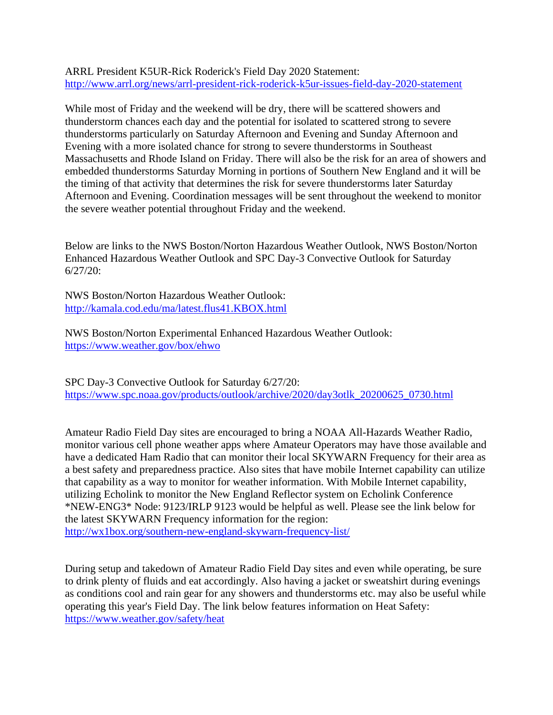ARRL President K5UR-Rick Roderick's Field Day 2020 Statement: <http://www.arrl.org/news/arrl-president-rick-roderick-k5ur-issues-field-day-2020-statement>

While most of Friday and the weekend will be dry, there will be scattered showers and thunderstorm chances each day and the potential for isolated to scattered strong to severe thunderstorms particularly on Saturday Afternoon and Evening and Sunday Afternoon and Evening with a more isolated chance for strong to severe thunderstorms in Southeast Massachusetts and Rhode Island on Friday. There will also be the risk for an area of showers and embedded thunderstorms Saturday Morning in portions of Southern New England and it will be the timing of that activity that determines the risk for severe thunderstorms later Saturday Afternoon and Evening. Coordination messages will be sent throughout the weekend to monitor the severe weather potential throughout Friday and the weekend.

Below are links to the NWS Boston/Norton Hazardous Weather Outlook, NWS Boston/Norton Enhanced Hazardous Weather Outlook and SPC Day-3 Convective Outlook for Saturday 6/27/20:

NWS Boston/Norton Hazardous Weather Outlook: <http://kamala.cod.edu/ma/latest.flus41.KBOX.html>

NWS Boston/Norton Experimental Enhanced Hazardous Weather Outlook: <https://www.weather.gov/box/ehwo>

SPC Day-3 Convective Outlook for Saturday 6/27/20: [https://www.spc.noaa.gov/products/outlook/archive/2020/day3otlk\\_20200625\\_0730.html](https://www.spc.noaa.gov/products/outlook/archive/2020/day3otlk_20200625_0730.html)

Amateur Radio Field Day sites are encouraged to bring a NOAA All-Hazards Weather Radio, monitor various cell phone weather apps where Amateur Operators may have those available and have a dedicated Ham Radio that can monitor their local SKYWARN Frequency for their area as a best safety and preparedness practice. Also sites that have mobile Internet capability can utilize that capability as a way to monitor for weather information. With Mobile Internet capability, utilizing Echolink to monitor the New England Reflector system on Echolink Conference \*NEW-ENG3\* Node: 9123/IRLP 9123 would be helpful as well. Please see the link below for the latest SKYWARN Frequency information for the region: <http://wx1box.org/southern-new-england-skywarn-frequency-list/>

During setup and takedown of Amateur Radio Field Day sites and even while operating, be sure to drink plenty of fluids and eat accordingly. Also having a jacket or sweatshirt during evenings as conditions cool and rain gear for any showers and thunderstorms etc. may also be useful while operating this year's Field Day. The link below features information on Heat Safety: <https://www.weather.gov/safety/heat>